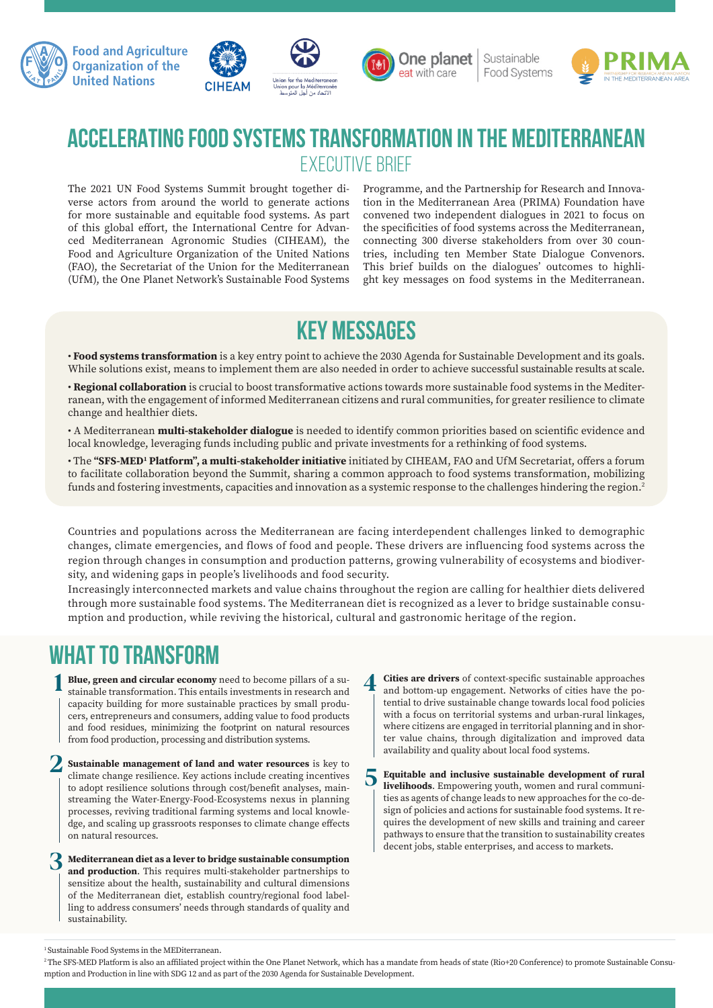







Sustainable Food Systems



### **ACCELERATING FOOD SYSTEMS TRANSFORMATION IN THE MEDITERRANEAN** EXECUTIVE BRIEF

The 2021 UN Food Systems Summit brought together diverse actors from around the world to generate actions for more sustainable and equitable food systems. As part of this global effort, the International Centre for Advanced Mediterranean Agronomic Studies (CIHEAM), the Food and Agriculture Organization of the United Nations (FAO), the Secretariat of the Union for the Mediterranean (UfM), the One Planet Network's Sustainable Food Systems Programme, and the Partnership for Research and Innovation in the Mediterranean Area (PRIMA) Foundation have convened two independent dialogues in 2021 to focus on the specificities of food systems across the Mediterranean, connecting 300 diverse stakeholders from over 30 countries, including ten Member State Dialogue Convenors. This brief builds on the dialogues' outcomes to highlight key messages on food systems in the Mediterranean.

### **KEY MESSAGES**

• Food systems transformation is a key entry point to achieve the 2030 Agenda for Sustainable Development and its goals. While solutions exist, means to implement them are also needed in order to achieve successful sustainable results at scale.

• Regional collaboration is crucial to boost transformative actions towards more sustainable food systems in the Mediterranean, with the engagement of informed Mediterranean citizens and rural communities, for greater resilience to climate change and healthier diets.

• A Mediterranean multi-stakeholder dialogue is needed to identify common priorities based on scientific evidence and local knowledge, leveraging funds including public and private investments for a rethinking of food systems.

 $\cdot$  The "SFS-MED' Platform", a multi-stakeholder initiative initiated by CIHEAM, FAO and UfM Secretariat, offers a forum to facilitate collaboration beyond the Summit, sharing a common approach to food systems transformation, mobilizing funds and fostering investments, capacities and innovation as a systemic response to the challenges hindering the region.<sup>2</sup>

Countries and populations across the Mediterranean are facing interdependent challenges linked to demographic changes, climate emergencies, and flows of food and people. These drivers are influencing food systems across the region through changes in consumption and production patterns, growing vulnerability of ecosystems and biodiversity, and widening gaps in people's livelihoods and food security.

Increasingly interconnected markets and value chains throughout the region are calling for healthier diets delivered through more sustainable food systems. The Mediterranean diet is recognized as a lever to bridge sustainable consumption and production, while reviving the historical, cultural and gastronomic heritage of the region.

## **WHAT TO TRANSFORM**

- Blue, green and circular economy need to become pillars of a sustainable transformation. This entails investments in research and capacity building for more sustainable practices by small producers, entrepreneurs and consumers, adding value to food products and food residues, minimizing the footprint on natural resources from food production, processing and distribution systems. **1**
- 2 **Sustainable management of land and water resources** is key to climate change resilience. Key actions include creating incentives climate change resilience. Key actions include creating incentives to adopt resilience solutions through cost/benefit analyses, mainstreaming the Water-Energy-Food-Ecosystems nexus in planning processes, reviving traditional farming systems and local knowledge, and scaling up grassroots responses to climate change effects on natural resources.
- **3** Mediterranean diet as a lever to bridge sustainable consumption and production. This requires multi-stakeholder partnerships to and production. This requires multi-stakeholder partnerships to sensitize about the health, sustainability and cultural dimensions of the Mediterranean diet, establish country/regional food labelling to address consumers' needs through standards of quality and sustainability.
- Cities are drivers of context-specific sustainable approaches and bottom-up engagement. Networks of cities have the potential to drive sustainable change towards local food policies with a focus on territorial systems and urban-rural linkages, where citizens are engaged in territorial planning and in shorter value chains, through digitalization and improved data availability and quality about local food systems. **4**
- Equitable and inclusive sustainable development of rural livelihoods. Empowering youth, women and rural communities as agents of change leads to new approaches for the co-design of policies and actions for sustainable food systems. It requires the development of new skills and training and career pathways to ensure that the transition to sustainability creates decent jobs, stable enterprises, and access to markets. **5**

<sup>&</sup>lt;sup>1</sup> Sustainable Food Systems in the MEDiterranean.

<sup>2</sup> The SFS-MED Platform is also an affiliated project within the One Planet Network, which has a mandate from heads of state (Rio+20 Conference) to promote Sustainable Consumption and Production in line with SDG 12 and as part of the 2030 Agenda for Sustainable Development.